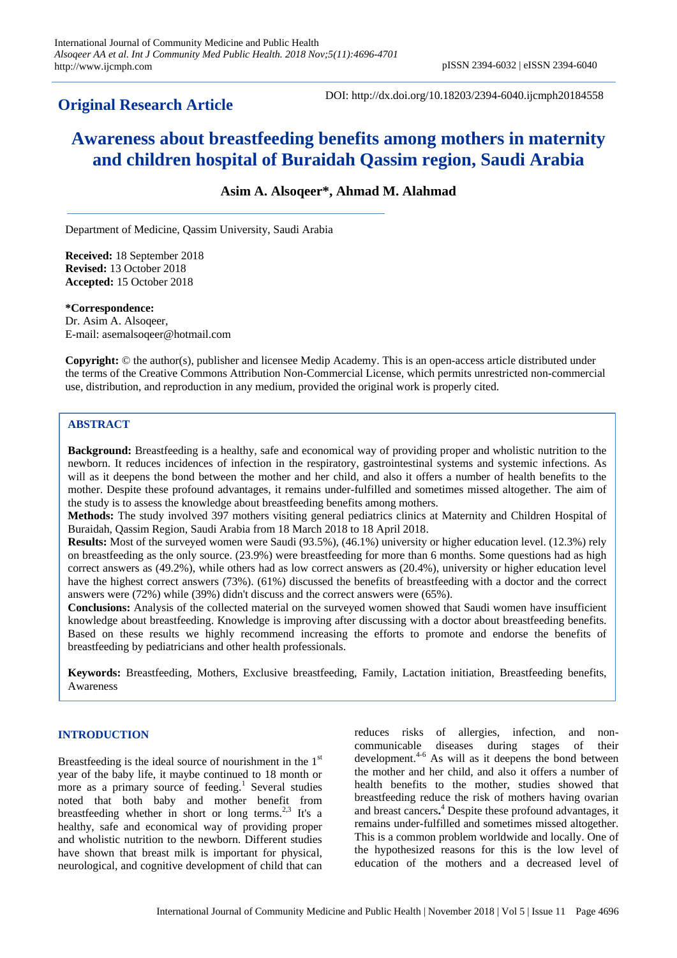# **Original Research Article**

DOI: http://dx.doi.org/10.18203/2394-6040.ijcmph20184558

# **Awareness about breastfeeding benefits among mothers in maternity and children hospital of Buraidah Qassim region, Saudi Arabia**

# **Asim A. Alsoqeer\*, Ahmad M. Alahmad**

Department of Medicine, Qassim University, Saudi Arabia

**Received:** 18 September 2018 **Revised:** 13 October 2018 **Accepted:** 15 October 2018

**\*Correspondence:** Dr. Asim A. Alsoqeer, E-mail: asemalsoqeer@hotmail.com

**Copyright:** © the author(s), publisher and licensee Medip Academy. This is an open-access article distributed under the terms of the Creative Commons Attribution Non-Commercial License, which permits unrestricted non-commercial use, distribution, and reproduction in any medium, provided the original work is properly cited.

# **ABSTRACT**

**Background:** Breastfeeding is a healthy, safe and economical way of providing proper and wholistic nutrition to the newborn. It reduces incidences of infection in the respiratory, gastrointestinal systems and systemic infections. As will as it deepens the bond between the mother and her child, and also it offers a number of health benefits to the mother. Despite these profound advantages, it remains under-fulfilled and sometimes missed altogether. The aim of the study is to assess the knowledge about breastfeeding benefits among mothers.

**Methods:** The study involved 397 mothers visiting general pediatrics clinics at Maternity and Children Hospital of Buraidah, Qassim Region, Saudi Arabia from 18 March 2018 to 18 April 2018.

**Results:** Most of the surveyed women were Saudi (93.5%), (46.1%) university or higher education level. (12.3%) rely on breastfeeding as the only source. (23.9%) were breastfeeding for more than 6 months. Some questions had as high correct answers as (49.2%), while others had as low correct answers as (20.4%), university or higher education level have the highest correct answers (73%). (61%) discussed the benefits of breastfeeding with a doctor and the correct answers were (72%) while (39%) didn't discuss and the correct answers were (65%).

**Conclusions:** Analysis of the collected material on the surveyed women showed that Saudi women have insufficient knowledge about breastfeeding. Knowledge is improving after discussing with a doctor about breastfeeding benefits. Based on these results we highly recommend increasing the efforts to promote and endorse the benefits of breastfeeding by pediatricians and other health professionals.

**Keywords:** Breastfeeding, Mothers, Exclusive breastfeeding, Family, Lactation initiation, Breastfeeding benefits, Awareness

# **INTRODUCTION**

Breastfeeding is the ideal source of nourishment in the  $1<sup>st</sup>$ year of the baby life, it maybe continued to 18 month or more as a primary source of feeding.<sup>1</sup> Several studies noted that both baby and mother benefit from breastfeeding whether in short or long terms. $2.3$  It's a healthy, safe and economical way of providing proper and wholistic nutrition to the newborn. Different studies have shown that breast milk is important for physical, neurological, and cognitive development of child that can reduces risks of allergies, infection, and noncommunicable diseases during stages of their development. $4-6$  As will as it deepens the bond between the mother and her child, and also it offers a number of health benefits to the mother, studies showed that breastfeeding reduce the risk of mothers having ovarian and breast cancers**.** <sup>4</sup> Despite these profound advantages, it remains under-fulfilled and sometimes missed altogether. This is a common problem worldwide and locally. One of the hypothesized reasons for this is the low level of education of the mothers and a decreased level of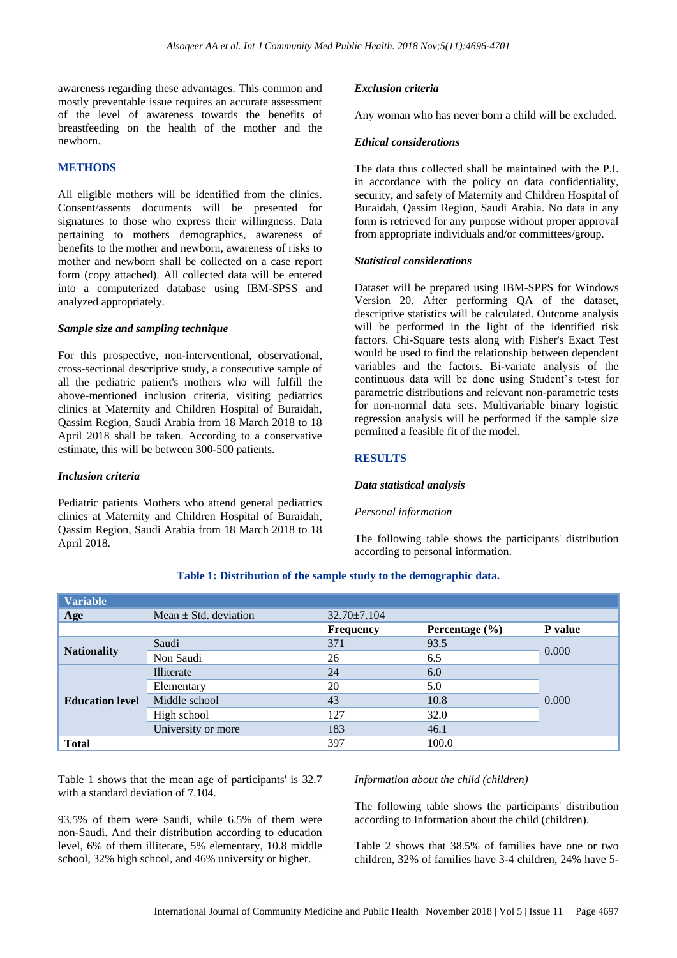awareness regarding these advantages. This common and mostly preventable issue requires an accurate assessment of the level of awareness towards the benefits of breastfeeding on the health of the mother and the newborn.

# **METHODS**

All eligible mothers will be identified from the clinics. Consent/assents documents will be presented for signatures to those who express their willingness. Data pertaining to mothers demographics, awareness of benefits to the mother and newborn, awareness of risks to mother and newborn shall be collected on a case report form (copy attached). All collected data will be entered into a computerized database using IBM-SPSS and analyzed appropriately.

# *Sample size and sampling technique*

For this prospective, non-interventional, observational, cross-sectional descriptive study, a consecutive sample of all the pediatric patient's mothers who will fulfill the above-mentioned inclusion criteria, visiting pediatrics clinics at Maternity and Children Hospital of Buraidah, Qassim Region, Saudi Arabia from 18 March 2018 to 18 April 2018 shall be taken. According to a conservative estimate, this will be between 300-500 patients.

#### *Inclusion criteria*

Pediatric patients Mothers who attend general pediatrics clinics at Maternity and Children Hospital of Buraidah, Qassim Region, Saudi Arabia from 18 March 2018 to 18 April 2018.

#### *Exclusion criteria*

Any woman who has never born a child will be excluded.

## *Ethical considerations*

The data thus collected shall be maintained with the P.I. in accordance with the policy on data confidentiality, security, and safety of Maternity and Children Hospital of Buraidah, Qassim Region, Saudi Arabia. No data in any form is retrieved for any purpose without proper approval from appropriate individuals and/or committees/group.

#### *Statistical considerations*

Dataset will be prepared using IBM-SPPS for Windows Version 20. After performing QA of the dataset, descriptive statistics will be calculated. Outcome analysis will be performed in the light of the identified risk factors. Chi-Square tests along with Fisher's Exact Test would be used to find the relationship between dependent variables and the factors. Bi-variate analysis of the continuous data will be done using Student's t-test for parametric distributions and relevant non-parametric tests for non-normal data sets. Multivariable binary logistic regression analysis will be performed if the sample size permitted a feasible fit of the model.

#### **RESULTS**

#### *Data statistical analysis*

#### *Personal information*

The following table shows the participants' distribution according to personal information.

#### **Table 1: Distribution of the sample study to the demographic data.**

| <b>Variable</b>        |                           |                   |                    |         |  |
|------------------------|---------------------------|-------------------|--------------------|---------|--|
| Age                    | Mean $\pm$ Std. deviation | $32.70 \pm 7.104$ |                    |         |  |
|                        |                           | <b>Frequency</b>  | Percentage $(\% )$ | P value |  |
|                        | Saudi                     | 371               | 93.5               | 0.000   |  |
| <b>Nationality</b>     | Non Saudi                 | 26                | 6.5                |         |  |
| <b>Education level</b> | Illiterate                | 24                | 6.0                |         |  |
|                        | Elementary                | 20                | 5.0                |         |  |
|                        | Middle school             | 43                | 10.8               | 0.000   |  |
|                        | High school               | 127               | 32.0               |         |  |
|                        | University or more        | 183               | 46.1               |         |  |
| <b>Total</b>           |                           | 397               | 100.0              |         |  |

Table 1 shows that the mean age of participants' is 32.7 with a standard deviation of 7.104

93.5% of them were Saudi, while 6.5% of them were non-Saudi. And their distribution according to education level, 6% of them illiterate, 5% elementary, 10.8 middle school, 32% high school, and 46% university or higher.

#### *Information about the child (children)*

The following table shows the participants' distribution according to Information about the child (children).

Table 2 shows that 38.5% of families have one or two children, 32% of families have 3-4 children, 24% have 5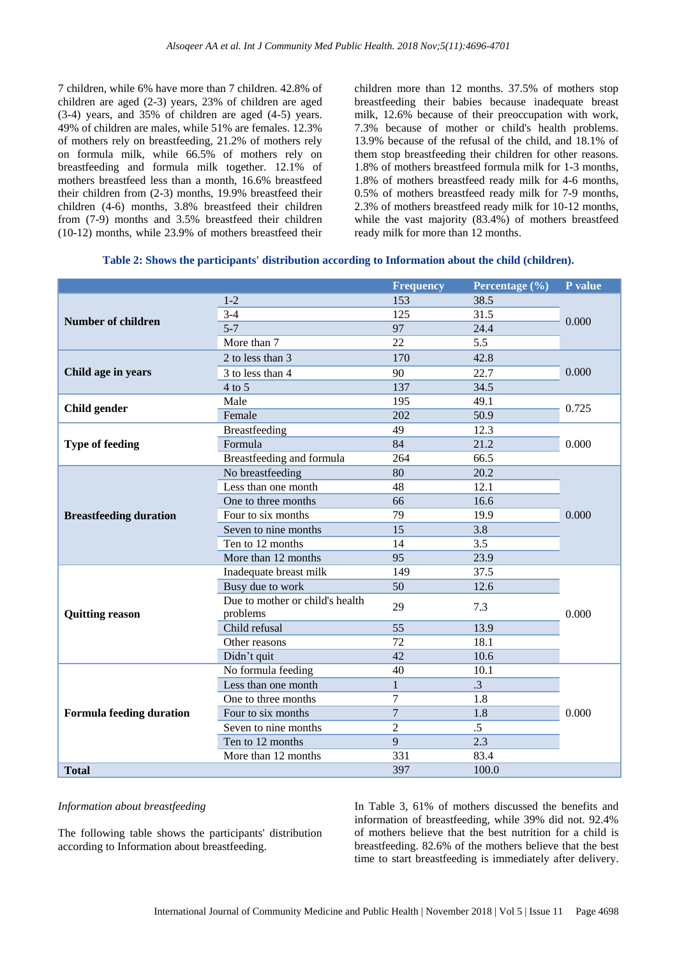7 children, while 6% have more than 7 children. 42.8% of children are aged (2-3) years, 23% of children are aged (3-4) years, and 35% of children are aged (4-5) years. 49% of children are males, while 51% are females. 12.3% of mothers rely on breastfeeding, 21.2% of mothers rely on formula milk, while 66.5% of mothers rely on breastfeeding and formula milk together. 12.1% of mothers breastfeed less than a month, 16.6% breastfeed their children from (2-3) months, 19.9% breastfeed their children (4-6) months, 3.8% breastfeed their children from (7-9) months and 3.5% breastfeed their children (10-12) months, while 23.9% of mothers breastfeed their children more than 12 months. 37.5% of mothers stop breastfeeding their babies because inadequate breast milk, 12.6% because of their preoccupation with work, 7.3% because of mother or child's health problems. 13.9% because of the refusal of the child, and 18.1% of them stop breastfeeding their children for other reasons. 1.8% of mothers breastfeed formula milk for 1-3 months, 1.8% of mothers breastfeed ready milk for 4-6 months, 0.5% of mothers breastfeed ready milk for 7-9 months, 2.3% of mothers breastfeed ready milk for 10-12 months, while the vast majority (83.4%) of mothers breastfeed ready milk for more than 12 months.

|                               |                                             | <b>Frequency</b> | Percentage (%) | P value |  |
|-------------------------------|---------------------------------------------|------------------|----------------|---------|--|
|                               | $1 - 2$                                     | 153              | 38.5           |         |  |
| <b>Number of children</b>     | $3 - 4$                                     | 125              | 31.5           | 0.000   |  |
|                               | $5 - 7$                                     | 97               | 24.4           |         |  |
|                               | More than 7                                 | 22               | 5.5            |         |  |
|                               | 2 to less than 3                            | 170              | 42.8           | 0.000   |  |
| Child age in years            | 3 to less than 4                            | 90               | 22.7           |         |  |
|                               | $4$ to 5                                    | 137              | 34.5           |         |  |
| <b>Child gender</b>           | Male                                        | 195              | 49.1           | 0.725   |  |
|                               | Female                                      | 202              | 50.9           |         |  |
|                               | Breastfeeding                               | 49               | 12.3           |         |  |
| <b>Type of feeding</b>        | Formula                                     | 84               | 21.2           | 0.000   |  |
|                               | Breastfeeding and formula                   | 264              | 66.5           |         |  |
|                               | No breastfeeding                            | 80               | 20.2           |         |  |
|                               | Less than one month                         | 48               | 12.1           |         |  |
|                               | One to three months                         | 66               | 16.6           | 0.000   |  |
| <b>Breastfeeding duration</b> | Four to six months                          | 79               | 19.9           |         |  |
|                               | Seven to nine months                        | 15               | 3.8            |         |  |
|                               | Ten to 12 months                            | 14               | 3.5            |         |  |
|                               | More than 12 months                         | 95               | 23.9           |         |  |
|                               | Inadequate breast milk                      | 149              | 37.5           |         |  |
|                               | Busy due to work                            | 50               | 12.6           |         |  |
| <b>Quitting reason</b>        | Due to mother or child's health<br>problems | 29               | 7.3            | 0.000   |  |
|                               | Child refusal                               | 55               | 13.9           |         |  |
|                               | Other reasons                               | 72               | 18.1           |         |  |
|                               | Didn't quit                                 | 42               | 10.6           |         |  |
|                               | No formula feeding                          | 40               | 10.1           |         |  |
|                               | Less than one month                         | $\mathbf{1}$     | $\cdot$ 3      |         |  |
|                               | One to three months                         | 7                | 1.8            |         |  |
| Formula feeding duration      | Four to six months                          | $\overline{7}$   | 1.8            | 0.000   |  |
|                               | Seven to nine months                        | $\overline{2}$   | $.5\,$         |         |  |
|                               | Ten to 12 months                            | 9                | 2.3            |         |  |
|                               | More than 12 months                         | 331              | 83.4           |         |  |
| <b>Total</b>                  |                                             | 397              | 100.0          |         |  |

#### *Information about breastfeeding*

The following table shows the participants' distribution according to Information about breastfeeding.

In Table 3, 61% of mothers discussed the benefits and information of breastfeeding, while 39% did not. 92.4% of mothers believe that the best nutrition for a child is breastfeeding. 82.6% of the mothers believe that the best time to start breastfeeding is immediately after delivery.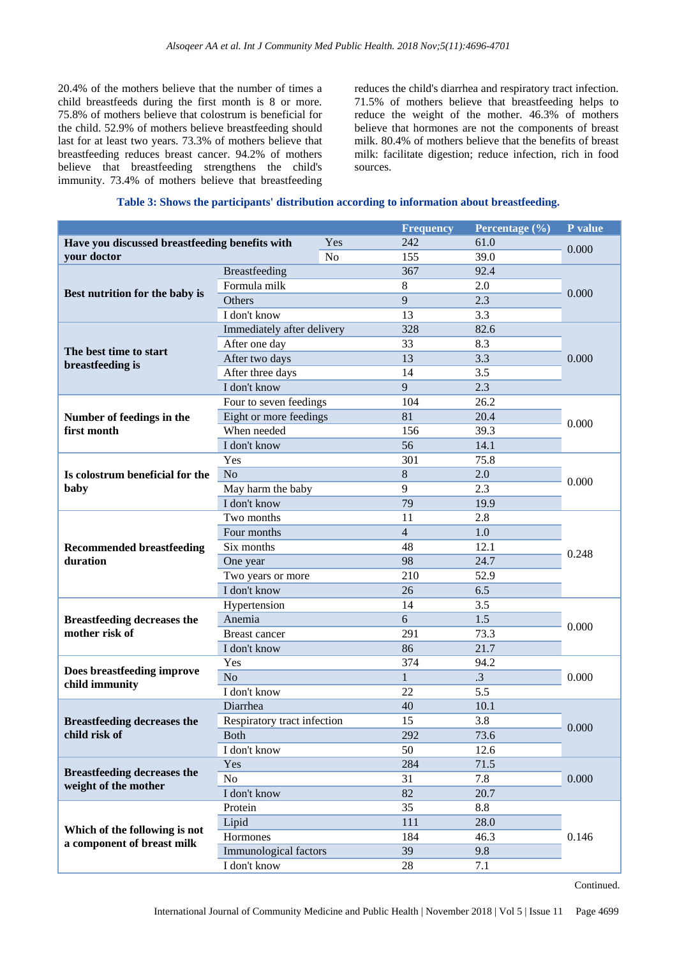20.4% of the mothers believe that the number of times a child breastfeeds during the first month is 8 or more. 75.8% of mothers believe that colostrum is beneficial for the child. 52.9% of mothers believe breastfeeding should last for at least two years. 73.3% of mothers believe that breastfeeding reduces breast cancer. 94.2% of mothers believe that breastfeeding strengthens the child's immunity. 73.4% of mothers believe that breastfeeding reduces the child's diarrhea and respiratory tract infection. 71.5% of mothers believe that breastfeeding helps to reduce the weight of the mother. 46.3% of mothers believe that hormones are not the components of breast milk. 80.4% of mothers believe that the benefits of breast milk: facilitate digestion; reduce infection, rich in food sources.

# **Table 3: Shows the participants' distribution according to information about breastfeeding.**

|                                                |                             | <b>Frequency</b> | Percentage (%) | P value |  |  |
|------------------------------------------------|-----------------------------|------------------|----------------|---------|--|--|
| Have you discussed breastfeeding benefits with | Yes                         | 242              | 61.0           | 0.000   |  |  |
| your doctor                                    | N <sub>o</sub>              | 155              | 39.0           |         |  |  |
| Best nutrition for the baby is                 | Breastfeeding               | 367              | 92.4           |         |  |  |
|                                                | Formula milk                | 8                | 2.0            | 0.000   |  |  |
|                                                | Others                      | 9                | 2.3            |         |  |  |
|                                                | I don't know                | 13               | 3.3            |         |  |  |
|                                                | Immediately after delivery  | 328              | 82.6           | 0.000   |  |  |
|                                                | After one day               | 33               | 8.3            |         |  |  |
| The best time to start<br>breastfeeding is     | After two days              | 13               | 3.3            |         |  |  |
|                                                | After three days            | 14               | 3.5            |         |  |  |
|                                                | I don't know                | 9                | 2.3            |         |  |  |
|                                                | Four to seven feedings      | 104              | 26.2           |         |  |  |
| Number of feedings in the                      | Eight or more feedings      | 81               | 20.4           |         |  |  |
| first month                                    | When needed                 | 156              | 39.3           | 0.000   |  |  |
|                                                | I don't know                | 56               | 14.1           |         |  |  |
|                                                | Yes                         | 301              | 75.8           |         |  |  |
| Is colostrum beneficial for the                | N <sub>o</sub>              | 8                | 2.0            |         |  |  |
| baby                                           | May harm the baby           | 9                | 2.3            | 0.000   |  |  |
|                                                | I don't know                | 79               | 19.9           |         |  |  |
|                                                | Two months<br>11<br>2.8     |                  |                |         |  |  |
|                                                | Four months                 | $\overline{4}$   | 1.0            |         |  |  |
| <b>Recommended breastfeeding</b>               | Six months                  | 48               | 12.1           | 0.248   |  |  |
| duration                                       | One year                    | 98               | 24.7           |         |  |  |
|                                                | Two years or more           | 210              | 52.9           |         |  |  |
|                                                | I don't know                | 6.5              |                |         |  |  |
|                                                | Hypertension                | 14               | 3.5            | 0.000   |  |  |
| <b>Breastfeeding decreases the</b>             | Anemia                      | 6                | 1.5            |         |  |  |
| mother risk of                                 | <b>Breast cancer</b>        | 291              | 73.3           |         |  |  |
|                                                | I don't know                | 86               | 21.7           |         |  |  |
|                                                | Yes                         | 374<br>94.2      |                |         |  |  |
| Does breastfeeding improve                     | N <sub>o</sub>              | $\mathbf{1}$     | $\cdot$ 3      | 0.000   |  |  |
| child immunity                                 | I don't know                | 22               | 5.5            |         |  |  |
|                                                | Diarrhea                    | 40               | 10.1           |         |  |  |
| <b>Breastfeeding decreases the</b>             | Respiratory tract infection | 15               | 3.8            |         |  |  |
| child risk of                                  | <b>Both</b>                 | 292              | 73.6           | 0.000   |  |  |
|                                                | I don't know                | 50               | 12.6           |         |  |  |
|                                                | Yes                         | 284              | 71.5           | 0.000   |  |  |
| <b>Breastfeeding decreases the</b>             | No                          | 31               | 7.8            |         |  |  |
| weight of the mother                           | I don't know                | 82               | 20.7           |         |  |  |
|                                                | Protein                     | 35               | 8.8            |         |  |  |
|                                                | Lipid                       | 111              | 28.0           |         |  |  |
| Which of the following is not                  | Hormones                    | 184              | 46.3           | 0.146   |  |  |
| a component of breast milk                     | Immunological factors       | 39               | 9.8            |         |  |  |
|                                                | I don't know                | 28               | 7.1            |         |  |  |

Continued.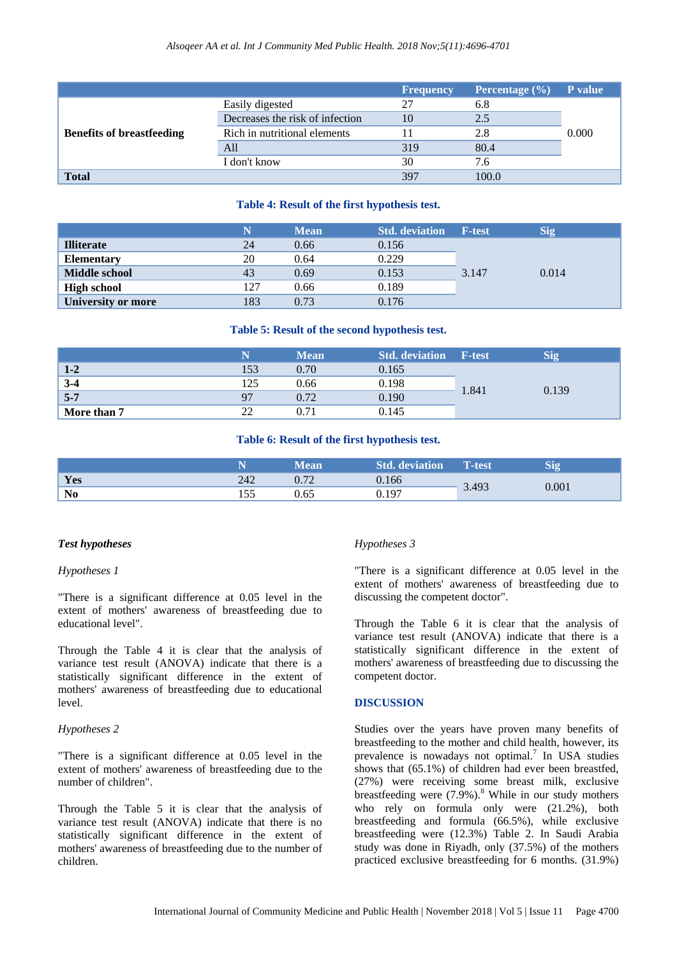|                                  |                                 | <b>Frequency</b> | Percentage $(\% )$ | <b>P</b> value |
|----------------------------------|---------------------------------|------------------|--------------------|----------------|
|                                  | Easily digested                 | 27               | 6.8                |                |
|                                  | Decreases the risk of infection |                  | 2.5                |                |
| <b>Benefits of breastfeeding</b> | Rich in nutritional elements    |                  | 2.8                | 0.000          |
|                                  | All                             | 319              | 80.4               |                |
|                                  | I don't know                    | 30               | 7.6                |                |
| <b>Total</b>                     |                                 | 397              | 100.0              |                |

# **Table 4: Result of the first hypothesis test.**

|                      |     | <b>Mean</b> | <b>Std. deviation</b> | <b>F-test</b> | Sig   |
|----------------------|-----|-------------|-----------------------|---------------|-------|
| <b>Illiterate</b>    | 24  | 0.66        | 0.156                 | 3.147         | 0.014 |
| <b>Elementary</b>    | 20  | 0.64        | 0.229                 |               |       |
| <b>Middle school</b> | 43  | 0.69        | 0.153                 |               |       |
| <b>High school</b>   | 127 | 0.66        | 0.189                 |               |       |
| University or more   | 183 | 0.73        | 0.176                 |               |       |

# **Table 5: Result of the second hypothesis test.**

|             |                | <b>Mean</b> | <b>Std. deviation</b> | F-test | Sio   |
|-------------|----------------|-------------|-----------------------|--------|-------|
| $1-2$       | 153            | 0.70        | 0.165                 | 1.841  | 0.139 |
| $3 - 4$     | 125            | 0.66        | 0.198                 |        |       |
| $5 - 7$     | Q <sub>7</sub> | 0.72        | 0.190                 |        |       |
| More than 7 | ാ              | 0.71        | 0.145                 |        |       |

#### **Table 6: Result of the first hypothesis test.**

|                |               | ean  | deviation | T-test | <b>RA</b> |
|----------------|---------------|------|-----------|--------|-----------|
| Yes            | 242           | ר ר  | 0.166     | 3.493  | 0.001     |
| N <sub>0</sub> | $ -$<br>1 J J | 0.65 | (1197)    |        |           |

# *Test hypotheses*

#### *Hypotheses 1*

"There is a significant difference at 0.05 level in the extent of mothers' awareness of breastfeeding due to educational level".

Through the Table 4 it is clear that the analysis of variance test result (ANOVA) indicate that there is a statistically significant difference in the extent of mothers' awareness of breastfeeding due to educational level.

### *Hypotheses 2*

"There is a significant difference at 0.05 level in the extent of mothers' awareness of breastfeeding due to the number of children".

Through the Table 5 it is clear that the analysis of variance test result (ANOVA) indicate that there is no statistically significant difference in the extent of mothers' awareness of breastfeeding due to the number of children.

#### *Hypotheses 3*

"There is a significant difference at 0.05 level in the extent of mothers' awareness of breastfeeding due to discussing the competent doctor".

Through the Table 6 it is clear that the analysis of variance test result (ANOVA) indicate that there is a statistically significant difference in the extent of mothers' awareness of breastfeeding due to discussing the competent doctor.

# **DISCUSSION**

Studies over the years have proven many benefits of breastfeeding to the mother and child health, however, its prevalence is nowadays not optimal.<sup>7</sup> In USA studies shows that (65.1%) of children had ever been breastfed, (27%) were receiving some breast milk, exclusive breastfeeding were  $(7.9\%)$ .<sup>8</sup> While in our study mothers who rely on formula only were (21.2%), both breastfeeding and formula (66.5%), while exclusive breastfeeding were (12.3%) Table 2. In Saudi Arabia study was done in Riyadh, only (37.5%) of the mothers practiced exclusive breastfeeding for 6 months. (31.9%)